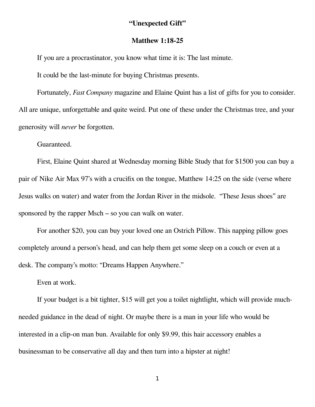## **"Unexpected Gift"**

## **Matthew 1:18-25**

If you are a procrastinator, you know what time it is: The last minute.

It could be the last-minute for buying Christmas presents.

Fortunately, *Fast Company* magazine and Elaine Quint has a list of gifts for you to consider. All are unique, unforgettable and quite weird. Put one of these under the Christmas tree, and your generosity will *never* be forgotten.

Guaranteed.

First, Elaine Quint shared at Wednesday morning Bible Study that for \$1500 you can buy a pair of Nike Air Max 97's with a crucifix on the tongue, Matthew 14:25 on the side (verse where Jesus walks on water) and water from the Jordan River in the midsole. "These Jesus shoes" are sponsored by the rapper Msch – so you can walk on water.

For another \$20, you can buy your loved one an Ostrich Pillow. This napping pillow goes completely around a person's head, and can help them get some sleep on a couch or even at a desk. The company's motto: "Dreams Happen Anywhere."

Even at work.

If your budget is a bit tighter, \$15 will get you a toilet nightlight, which will provide muchneeded guidance in the dead of night. Or maybe there is a man in your life who would be interested in a clip-on man bun. Available for only \$9.99, this hair accessory enables a businessman to be conservative all day and then turn into a hipster at night!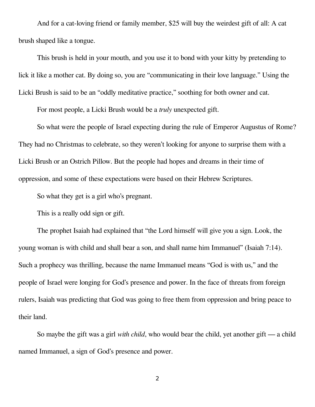And for a cat-loving friend or family member, \$25 will buy the weirdest gift of all: A cat brush shaped like a tongue.

This brush is held in your mouth, and you use it to bond with your kitty by pretending to lick it like a mother cat. By doing so, you are "communicating in their love language." Using the Licki Brush is said to be an "oddly meditative practice," soothing for both owner and cat.

For most people, a Licki Brush would be a *truly* unexpected gift.

So what were the people of Israel expecting during the rule of Emperor Augustus of Rome? They had no Christmas to celebrate, so they weren't looking for anyone to surprise them with a Licki Brush or an Ostrich Pillow. But the people had hopes and dreams in their time of oppression, and some of these expectations were based on their Hebrew Scriptures.

So what they get is a girl who's pregnant.

This is a really odd sign or gift.

The prophet Isaiah had explained that "the Lord himself will give you a sign. Look, the young woman is with child and shall bear a son, and shall name him Immanuel" (Isaiah 7:14). Such a prophecy was thrilling, because the name Immanuel means "God is with us," and the people of Israel were longing for God's presence and power. In the face of threats from foreign rulers, Isaiah was predicting that God was going to free them from oppression and bring peace to their land.

So maybe the gift was a girl *with child*, who would bear the child, yet another gift — a child named Immanuel, a sign of God's presence and power.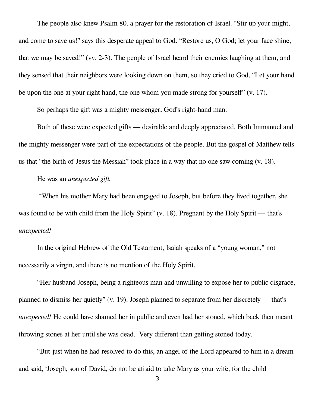The people also knew Psalm 80, a prayer for the restoration of Israel. "Stir up your might, and come to save us!" says this desperate appeal to God. "Restore us, O God; let your face shine, that we may be saved!" (vv. 2-3). The people of Israel heard their enemies laughing at them, and they sensed that their neighbors were looking down on them, so they cried to God, "Let your hand be upon the one at your right hand, the one whom you made strong for yourself" (v. 17).

So perhaps the gift was a mighty messenger, God's right-hand man.

Both of these were expected gifts — desirable and deeply appreciated. Both Immanuel and the mighty messenger were part of the expectations of the people. But the gospel of Matthew tells us that "the birth of Jesus the Messiah" took place in a way that no one saw coming (v. 18).

He was an *unexpected gift.*

 "When his mother Mary had been engaged to Joseph, but before they lived together, she was found to be with child from the Holy Spirit" (v. 18). Pregnant by the Holy Spirit — that's *unexpected!* 

In the original Hebrew of the Old Testament, Isaiah speaks of a "young woman," not necessarily a virgin, and there is no mention of the Holy Spirit.

"Her husband Joseph, being a righteous man and unwilling to expose her to public disgrace, planned to dismiss her quietly" (v. 19). Joseph planned to separate from her discretely — that's *unexpected!* He could have shamed her in public and even had her stoned, which back then meant throwing stones at her until she was dead. Very different than getting stoned today.

"But just when he had resolved to do this, an angel of the Lord appeared to him in a dream and said, 'Joseph, son of David, do not be afraid to take Mary as your wife, for the child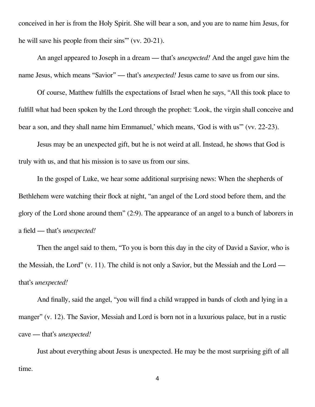conceived in her is from the Holy Spirit. She will bear a son, and you are to name him Jesus, for he will save his people from their sins'" (vv. 20-21).

An angel appeared to Joseph in a dream — that's *unexpected!* And the angel gave him the name Jesus, which means "Savior" — that's *unexpected!* Jesus came to save us from our sins.

Of course, Matthew fulfills the expectations of Israel when he says, "All this took place to fulfill what had been spoken by the Lord through the prophet: 'Look, the virgin shall conceive and bear a son, and they shall name him Emmanuel,' which means, 'God is with us'" (vv. 22-23).

Jesus may be an unexpected gift, but he is not weird at all. Instead, he shows that God is truly with us, and that his mission is to save us from our sins.

In the gospel of Luke, we hear some additional surprising news: When the shepherds of Bethlehem were watching their flock at night, "an angel of the Lord stood before them, and the glory of the Lord shone around them" (2:9). The appearance of an angel to a bunch of laborers in a field — that's *unexpected!*

Then the angel said to them, "To you is born this day in the city of David a Savior, who is the Messiah, the Lord" (v. 11). The child is not only a Savior, but the Messiah and the Lord that's *unexpected!*

And finally, said the angel, "you will find a child wrapped in bands of cloth and lying in a manger" (v. 12). The Savior, Messiah and Lord is born not in a luxurious palace, but in a rustic cave — that's *unexpected!*

Just about everything about Jesus is unexpected. He may be the most surprising gift of all time.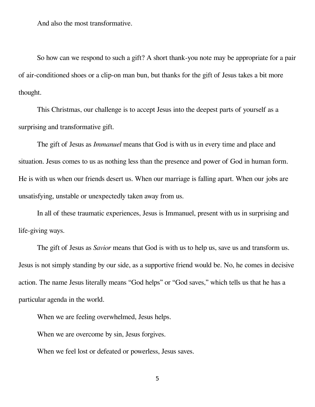And also the most transformative.

So how can we respond to such a gift? A short thank-you note may be appropriate for a pair of air-conditioned shoes or a clip-on man bun, but thanks for the gift of Jesus takes a bit more thought.

This Christmas, our challenge is to accept Jesus into the deepest parts of yourself as a surprising and transformative gift.

The gift of Jesus as *Immanuel* means that God is with us in every time and place and situation. Jesus comes to us as nothing less than the presence and power of God in human form. He is with us when our friends desert us. When our marriage is falling apart. When our jobs are unsatisfying, unstable or unexpectedly taken away from us.

In all of these traumatic experiences, Jesus is Immanuel, present with us in surprising and life-giving ways.

The gift of Jesus as *Savior* means that God is with us to help us, save us and transform us. Jesus is not simply standing by our side, as a supportive friend would be. No, he comes in decisive action. The name Jesus literally means "God helps" or "God saves," which tells us that he has a particular agenda in the world.

When we are feeling overwhelmed, Jesus helps.

When we are overcome by sin, Jesus forgives.

When we feel lost or defeated or powerless, Jesus saves.